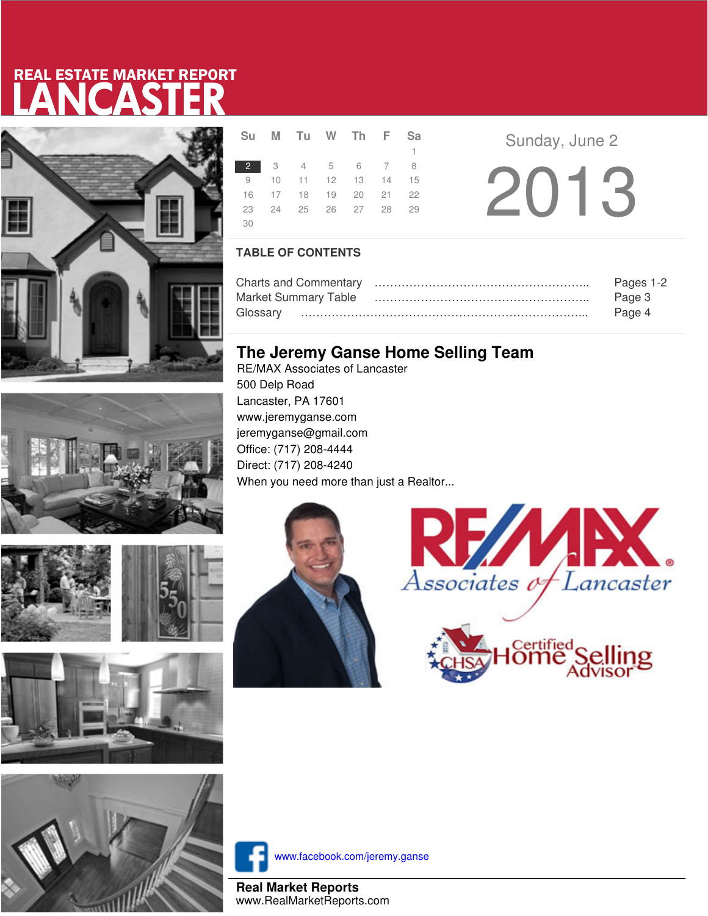# LANCASTER REAL ESTATE MARKET REPORT











|             | Su M Tu W Th F Sa    |  |    |  |
|-------------|----------------------|--|----|--|
|             |                      |  | 1. |  |
| $2^{\circ}$ | 3 4 5 6 7 8          |  |    |  |
|             | 9 10 11 12 13 14 15  |  |    |  |
|             | 16 17 18 19 20 21 22 |  |    |  |
|             | 23 24 25 26 27 28 29 |  |    |  |
| -30         |                      |  |    |  |

**R E** Sunday, June 2 2013

### **TABLE OF CONTENTS**

|                      | Pages 1-2 |
|----------------------|-----------|
| Market Summary Table | Page 3    |
|                      | Page 4    |

### **The Jeremy Ganse Home Selling Team**

RE/MAX Associates of Lancaster 500 Delp Road Lancaster, PA 17601 www.jeremyganse.com jeremyganse@gmail.com Office: (717) 208-4444 Direct: (717) 208-4240 When you need more than just a Realtor...







www.facebook.com/jeremy.ganse

**Real Market Reports** www.RealMarketReports.com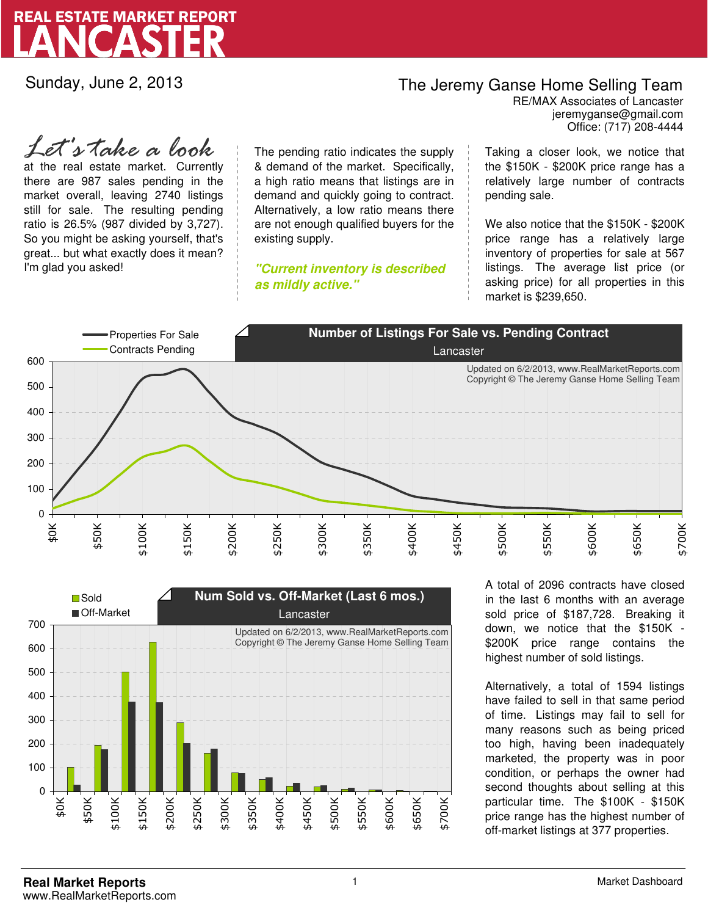

Sunday, June 2, 2013

## The Jeremy Ganse Home Selling Team

jeremyganse@gmail.com RE/MAX Associates of Lancaster Office: (717) 208-4444

at the real estate market. Currently there are 987 sales pending in the market overall, leaving 2740 listings still for sale. The resulting pending ratio is 26.5% (987 divided by 3,727). So you might be asking yourself, that's great... but what exactly does it mean? I'm glad you asked! *Let's take a look*

The pending ratio indicates the supply & demand of the market. Specifically, a high ratio means that listings are in demand and quickly going to contract. Alternatively, a low ratio means there are not enough qualified buyers for the existing supply.

**"Current inventory is described as mildly active."**

Taking a closer look, we notice that the \$150K - \$200K price range has a relatively large number of contracts pending sale.

We also notice that the \$150K - \$200K price range has a relatively large inventory of properties for sale at 567 listings. The average list price (or asking price) for all properties in this market is \$239,650.





A total of 2096 contracts have closed in the last 6 months with an average sold price of \$187,728. Breaking it down, we notice that the \$150K - \$200K price range contains the highest number of sold listings.

Alternatively, a total of 1594 listings have failed to sell in that same period of time. Listings may fail to sell for many reasons such as being priced too high, having been inadequately marketed, the property was in poor condition, or perhaps the owner had second thoughts about selling at this particular time. The \$100K - \$150K price range has the highest number of off-market listings at 377 properties.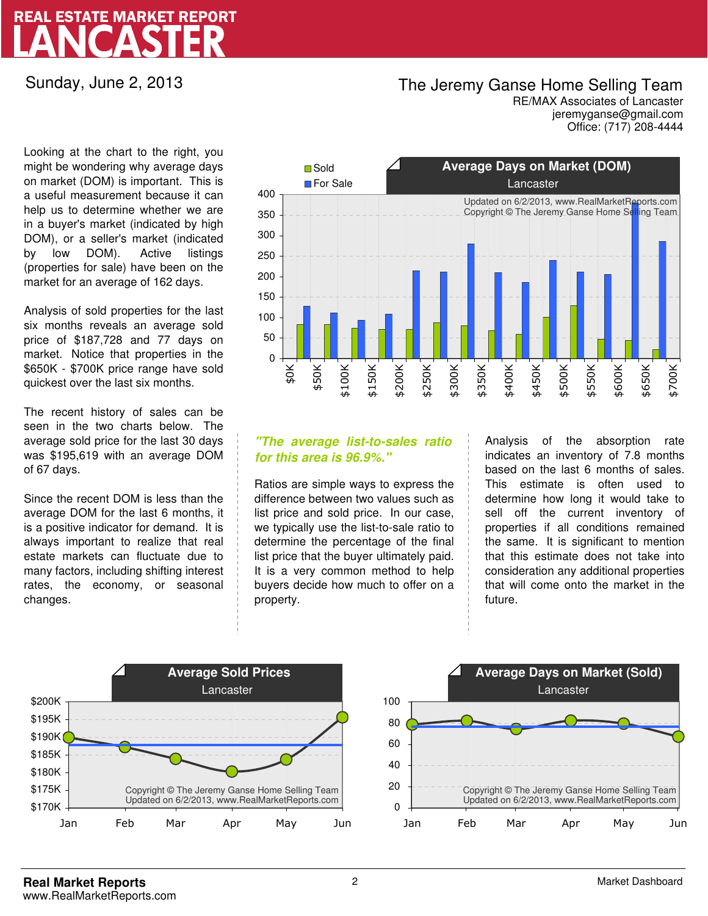## LANCASTER REAL ESTATE MARKET REPORT

Sunday, June 2, 2013

### The Jeremy Ganse Home Selling Team

jeremyganse@gmail.com RE/MAX Associates of Lancaster Office: (717) 208-4444

Looking at the chart to the right, you might be wondering why average days on market (DOM) is important. This is a useful measurement because it can help us to determine whether we are in a buyer's market (indicated by high DOM), or a seller's market (indicated by low DOM). Active listings (properties for sale) have been on the market for an average of 162 days.

Analysis of sold properties for the last six months reveals an average sold price of \$187,728 and 77 days on market. Notice that properties in the \$650K - \$700K price range have sold quickest over the last six months.

The recent history of sales can be seen in the two charts below. The average sold price for the last 30 days was \$195,619 with an average DOM of 67 days.

Since the recent DOM is less than the average DOM for the last 6 months, it is a positive indicator for demand. It is always important to realize that real estate markets can fluctuate due to many factors, including shifting interest rates, the economy, or seasonal changes.



### **"The average list-to-sales ratio for this area is 96.9%."**

Ratios are simple ways to express the difference between two values such as list price and sold price. In our case, we typically use the list-to-sale ratio to determine the percentage of the final list price that the buyer ultimately paid. It is a very common method to help buyers decide how much to offer on a property.

Analysis of the absorption rate indicates an inventory of 7.8 months based on the last 6 months of sales. This estimate is often used to determine how long it would take to sell off the current inventory of properties if all conditions remained the same. It is significant to mention that this estimate does not take into consideration any additional properties that will come onto the market in the future.



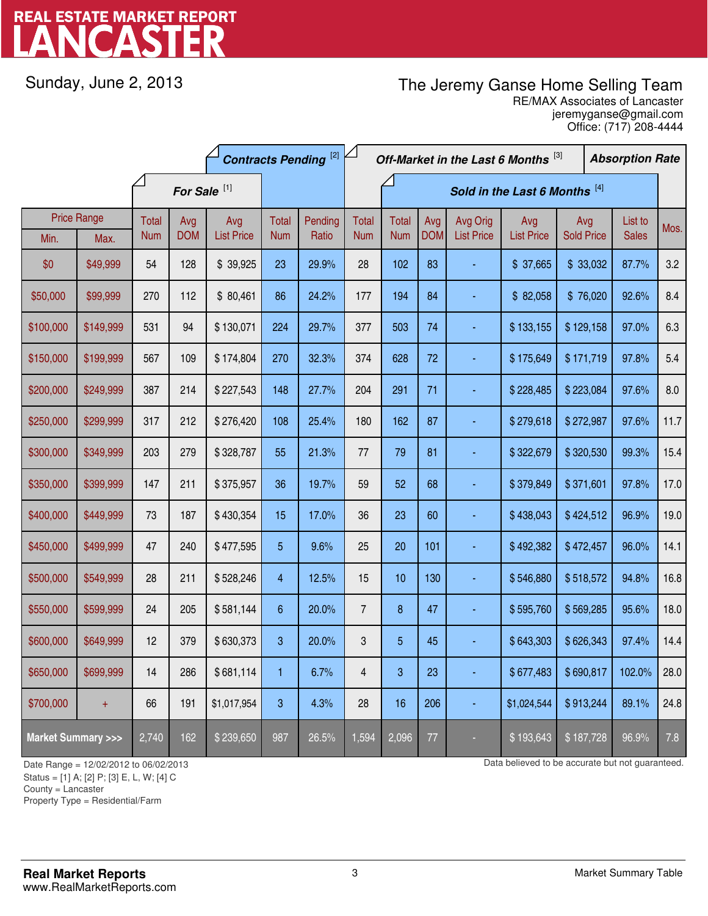# LANCASTER REAL ESTATE MARKET REPORT

Sunday, June 2, 2013

## The Jeremy Ganse Home Selling Team

jeremyganse@gmail.com RE/MAX Associates of Lancaster Office: (717) 208-4444

|                                    |                            | <b>Contracts Pending [2]</b> |                         |                          |                     | Off-Market in the Last 6 Months [3] |                               |                     |                   |                               | <b>Absorption Rate</b>   |                          |  |                         |      |       |     |
|------------------------------------|----------------------------|------------------------------|-------------------------|--------------------------|---------------------|-------------------------------------|-------------------------------|---------------------|-------------------|-------------------------------|--------------------------|--------------------------|--|-------------------------|------|-------|-----|
|                                    |                            |                              | For Sale <sup>[1]</sup> |                          |                     |                                     | Sold in the Last 6 Months [4] |                     |                   |                               |                          |                          |  |                         |      |       |     |
| Min.                               | <b>Price Range</b><br>Max. | Total<br><b>Num</b>          | Avg<br><b>DOM</b>       | Avg<br><b>List Price</b> | Total<br><b>Num</b> | Pending<br>Ratio                    | <b>Total</b><br><b>Num</b>    | Total<br><b>Num</b> | Avg<br><b>DOM</b> | Avg Orig<br><b>List Price</b> | Avg<br><b>List Price</b> | Avg<br><b>Sold Price</b> |  | List to<br><b>Sales</b> | Mos. |       |     |
| \$0                                | \$49,999                   | 54                           | 128                     | \$39,925                 | 23                  | 29.9%                               | 28                            | 102                 | 83                |                               | \$37,665                 | \$33,032                 |  | 87.7%                   | 3.2  |       |     |
| \$50,000                           | \$99,999                   | 270                          | 112                     | \$80,461                 | 86                  | 24.2%                               | 177                           | 194                 | 84                |                               | \$82,058                 | \$76,020                 |  | 92.6%                   | 8.4  |       |     |
| \$100,000                          | \$149,999                  | 531                          | 94                      | \$130,071                | 224                 | 29.7%                               | 377                           | 503                 | 74                |                               | \$133,155                | \$129,158                |  |                         |      | 97.0% | 6.3 |
| \$150,000                          | \$199,999                  | 567                          | 109                     | \$174,804                | 270                 | 32.3%                               | 374                           | 628                 | 72                |                               | \$175,649                | \$171,719                |  | 97.8%                   | 5.4  |       |     |
| \$200,000                          | \$249,999                  | 387                          | 214                     | \$227,543                | 148                 | 27.7%                               | 204                           | 291                 | 71                |                               | \$228,485                | \$223,084                |  | 97.6%                   | 8.0  |       |     |
| \$250,000                          | \$299,999                  | 317                          | 212                     | \$276,420                | 108                 | 25.4%                               | 180                           | 162                 | 87                |                               | \$279,618                | \$272,987                |  | 97.6%                   | 11.7 |       |     |
| \$300,000                          | \$349,999                  | 203                          | 279                     | \$328,787                | 55                  | 21.3%                               | 77                            | 79                  | 81                |                               | \$322,679                | \$320,530                |  | 99.3%                   | 15.4 |       |     |
| \$350,000                          | \$399,999                  | 147                          | 211                     | \$375,957                | 36                  | 19.7%                               | 59                            | 52                  | 68                |                               | \$379,849                | \$371,601                |  | 97.8%                   | 17.0 |       |     |
| \$400,000                          | \$449,999                  | 73                           | 187                     | \$430,354                | 15                  | 17.0%                               | 36                            | 23                  | 60                |                               | \$438,043                | \$424,512                |  | 96.9%                   | 19.0 |       |     |
| \$450,000                          | \$499,999                  | 47                           | 240                     | \$477,595                | 5                   | 9.6%                                | 25                            | 20                  | 101               |                               | \$492,382                | \$472,457                |  | 96.0%                   | 14.1 |       |     |
| \$500,000                          | \$549,999                  | 28                           | 211                     | \$528,246                | $\overline{4}$      | 12.5%                               | 15                            | 10                  | 130               |                               | \$546,880                | \$518,572                |  | 94.8%                   | 16.8 |       |     |
| \$550,000                          | \$599,999                  | 24                           | 205                     | \$581,144                | 6                   | 20.0%                               | $\overline{7}$                | 8                   | 47                |                               | \$595,760                | \$569,285                |  | 95.6%                   | 18.0 |       |     |
| \$600,000                          | \$649,999                  | 12                           | 379                     | \$630,373                | 3                   | 20.0%                               | 3                             | 5                   | 45                |                               | \$643,303                | \$626,343                |  | 97.4%                   | 14.4 |       |     |
| \$650,000                          | \$699,999                  | 14                           | 286                     | \$681,114                | 1                   | 6.7%                                | 4                             | 3                   | 23                |                               | \$677,483                | \$690,817                |  | 102.0%                  | 28.0 |       |     |
| \$700,000                          | $\ddot{}$                  | 66                           | 191                     | \$1,017,954              | 3                   | 4.3%                                | 28                            | 16                  | 206               |                               | \$1,024,544              | \$913,244                |  | 89.1%                   | 24.8 |       |     |
| <b>Market Summary &gt;&gt;&gt;</b> |                            | 2,740                        | 162                     | \$239,650                | 987                 | 26.5%                               | 1,594                         | 2,096               | 77                |                               | \$193,643                | \$187,728                |  | 96.9%                   | 7.8  |       |     |

Status = [1] A; [2] P; [3] E, L, W; [4] C

County = Lancaster

-

Property Type = Residential/Farm

Date Range = 12/02/2012 to 06/02/2013 Data believed to be accurate but not guaranteed.